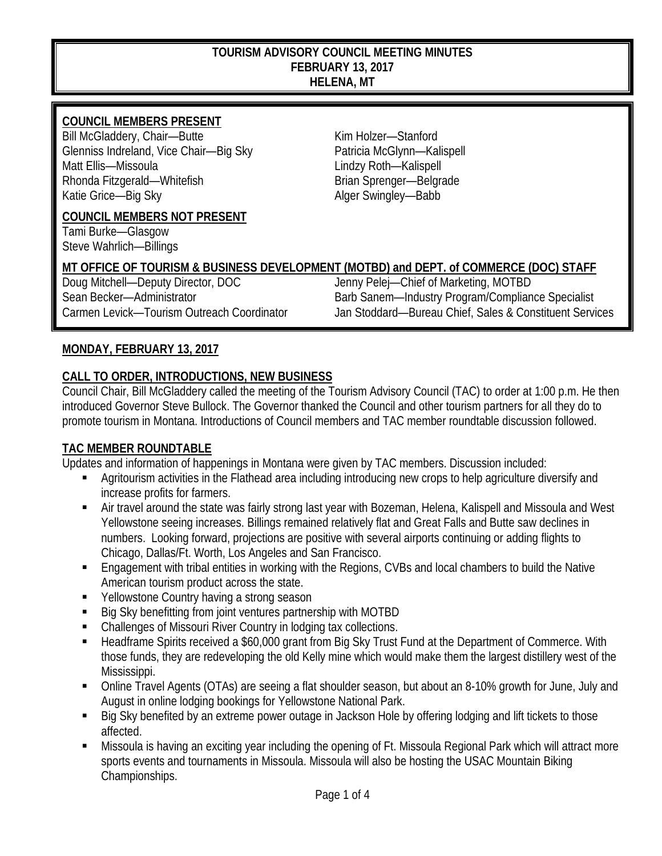#### **TOURISM ADVISORY COUNCIL MEETING MINUTES FEBRUARY 13, 2017 HELENA, MT**

### **COUNCIL MEMBERS PRESENT**

Bill McGladdery, Chair—Butte Kim Holzer—Stanford Glenniss Indreland, Vice Chair—Big Sky Patricia McGlynn—Kalispell Matt Ellis—Missoula Lindzy Roth—Kalispell Rhonda Fitzgerald—Whitefish Brian Sprenger—Belgrade<br>
Katie Grice—Big Sky<br>
Alger Swingley—Babb

Alger Swingley—Babb

### **COUNCIL MEMBERS NOT PRESENT**

Tami Burke—Glasgow Steve Wahrlich—Billings

#### **MT OFFICE OF TOURISM & BUSINESS DEVELOPMENT (MOTBD) and DEPT. of COMMERCE (DOC) STAFF**

Doug Mitchell—Deputy Director, DOC Jenny Pelej—Chief of Marketing, MOTBD

Sean Becker—Administrator **Barb Sanem—Industry Program/Compliance Specialist** Carmen Levick—Tourism Outreach Coordinator Jan Stoddard—Bureau Chief, Sales & Constituent Services

#### **MONDAY, FEBRUARY 13, 2017**

### **CALL TO ORDER, INTRODUCTIONS, NEW BUSINESS**

Council Chair, Bill McGladdery called the meeting of the Tourism Advisory Council (TAC) to order at 1:00 p.m. He then introduced Governor Steve Bullock. The Governor thanked the Council and other tourism partners for all they do to promote tourism in Montana. Introductions of Council members and TAC member roundtable discussion followed.

### **TAC MEMBER ROUNDTABLE**

Updates and information of happenings in Montana were given by TAC members. Discussion included:

- Agritourism activities in the Flathead area including introducing new crops to help agriculture diversify and increase profits for farmers.
- Air travel around the state was fairly strong last year with Bozeman, Helena, Kalispell and Missoula and West Yellowstone seeing increases. Billings remained relatively flat and Great Falls and Butte saw declines in numbers. Looking forward, projections are positive with several airports continuing or adding flights to Chicago, Dallas/Ft. Worth, Los Angeles and San Francisco.
- Engagement with tribal entities in working with the Regions, CVBs and local chambers to build the Native American tourism product across the state.
- Yellowstone Country having a strong season
- Big Sky benefitting from joint ventures partnership with MOTBD
- Challenges of Missouri River Country in lodging tax collections.
- Headframe Spirits received a \$60,000 grant from Big Sky Trust Fund at the Department of Commerce. With those funds, they are redeveloping the old Kelly mine which would make them the largest distillery west of the Mississippi.
- Online Travel Agents (OTAs) are seeing a flat shoulder season, but about an 8-10% growth for June, July and August in online lodging bookings for Yellowstone National Park.
- Big Sky benefited by an extreme power outage in Jackson Hole by offering lodging and lift tickets to those affected.
- Missoula is having an exciting year including the opening of Ft. Missoula Regional Park which will attract more sports events and tournaments in Missoula. Missoula will also be hosting the USAC Mountain Biking Championships.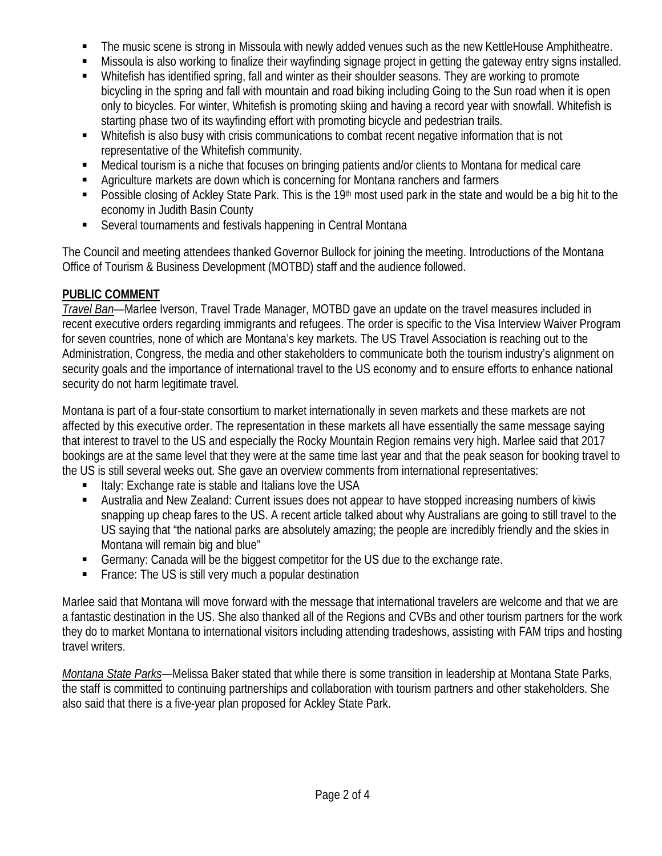- The music scene is strong in Missoula with newly added venues such as the new KettleHouse Amphitheatre.
- Missoula is also working to finalize their wayfinding signage project in getting the gateway entry signs installed.
- Whitefish has identified spring, fall and winter as their shoulder seasons. They are working to promote bicycling in the spring and fall with mountain and road biking including Going to the Sun road when it is open only to bicycles. For winter, Whitefish is promoting skiing and having a record year with snowfall. Whitefish is starting phase two of its wayfinding effort with promoting bicycle and pedestrian trails.
- Whitefish is also busy with crisis communications to combat recent negative information that is not representative of the Whitefish community.
- Medical tourism is a niche that focuses on bringing patients and/or clients to Montana for medical care
- Agriculture markets are down which is concerning for Montana ranchers and farmers
- **Possible closing of Ackley State Park. This is the 19<sup>th</sup> most used park in the state and would be a big hit to the** economy in Judith Basin County
- Several tournaments and festivals happening in Central Montana

The Council and meeting attendees thanked Governor Bullock for joining the meeting. Introductions of the Montana Office of Tourism & Business Development (MOTBD) staff and the audience followed.

## **PUBLIC COMMENT**

*Travel Ban*—Marlee Iverson, Travel Trade Manager, MOTBD gave an update on the travel measures included in recent executive orders regarding immigrants and refugees. The order is specific to the Visa Interview Waiver Program for seven countries, none of which are Montana's key markets. The US Travel Association is reaching out to the Administration, Congress, the media and other stakeholders to communicate both the tourism industry's alignment on security goals and the importance of international travel to the US economy and to ensure efforts to enhance national security do not harm legitimate travel.

Montana is part of a four-state consortium to market internationally in seven markets and these markets are not affected by this executive order. The representation in these markets all have essentially the same message saying that interest to travel to the US and especially the Rocky Mountain Region remains very high. Marlee said that 2017 bookings are at the same level that they were at the same time last year and that the peak season for booking travel to the US is still several weeks out. She gave an overview comments from international representatives:

- Italy: Exchange rate is stable and Italians love the USA
- Australia and New Zealand: Current issues does not appear to have stopped increasing numbers of kiwis snapping up cheap fares to the US. A recent article talked about why Australians are going to still travel to the US saying that "the national parks are absolutely amazing; the people are incredibly friendly and the skies in Montana will remain big and blue"
- Germany: Canada will be the biggest competitor for the US due to the exchange rate.
- **France:** The US is still very much a popular destination

Marlee said that Montana will move forward with the message that international travelers are welcome and that we are a fantastic destination in the US. She also thanked all of the Regions and CVBs and other tourism partners for the work they do to market Montana to international visitors including attending tradeshows, assisting with FAM trips and hosting travel writers.

*Montana State Parks*—Melissa Baker stated that while there is some transition in leadership at Montana State Parks, the staff is committed to continuing partnerships and collaboration with tourism partners and other stakeholders. She also said that there is a five-year plan proposed for Ackley State Park.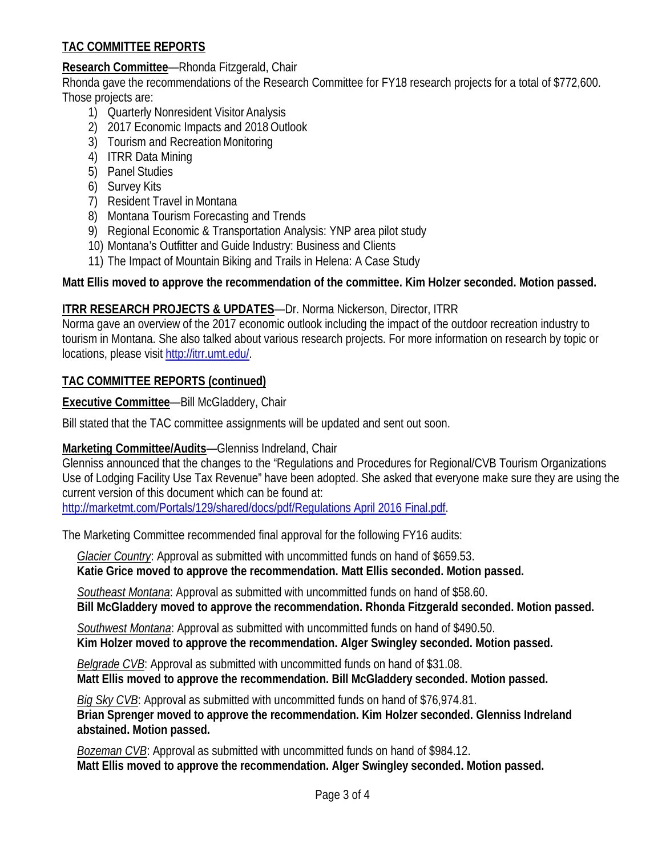### **TAC COMMITTEE REPORTS**

## **Research Committee**—Rhonda Fitzgerald, Chair

Rhonda gave the recommendations of the Research Committee for FY18 research projects for a total of \$772,600. Those projects are:

- 1) Quarterly Nonresident Visitor Analysis
- 2) 2017 Economic Impacts and 2018 Outlook
- 3) Tourism and Recreation Monitoring
- 4) ITRR Data Mining
- 5) Panel Studies
- 6) Survey Kits
- 7) Resident Travel in Montana
- 8) Montana Tourism Forecasting and Trends
- 9) Regional Economic & Transportation Analysis: YNP area pilot study
- 10) Montana's Outfitter and Guide Industry: Business and Clients
- 11) The Impact of Mountain Biking and Trails in Helena: A Case Study

# **Matt Ellis moved to approve the recommendation of the committee. Kim Holzer seconded. Motion passed.**

## **ITRR RESEARCH PROJECTS & UPDATES**—Dr. Norma Nickerson, Director, ITRR

Norma gave an overview of the 2017 economic outlook including the impact of the outdoor recreation industry to tourism in Montana. She also talked about various research projects. For more information on research by topic or locations, please visit [http://itrr.umt.edu/.](http://itrr.umt.edu/)

## **TAC COMMITTEE REPORTS (continued)**

## **Executive Committee-Bill McGladdery, Chair**

Bill stated that the TAC committee assignments will be updated and sent out soon.

# **Marketing Committee/Audits**—Glenniss Indreland, Chair

Glenniss announced that the changes to the "Regulations and Procedures for Regional/CVB Tourism Organizations Use of Lodging Facility Use Tax Revenue" have been adopted. She asked that everyone make sure they are using the current version of this document which can be found at:

[http://marketmt.com/Portals/129/shared/docs/pdf/Regulations April 2016 Final.pdf.](http://marketmt.com/Portals/129/shared/docs/pdf/Regulations%20April%202016%20Final.pdf)

The Marketing Committee recommended final approval for the following FY16 audits:

 *Glacier Country*: Approval as submitted with uncommitted funds on hand of \$659.53.  **Katie Grice moved to approve the recommendation. Matt Ellis seconded. Motion passed.**

 *Southeast Montana*: Approval as submitted with uncommitted funds on hand of \$58.60.  **Bill McGladdery moved to approve the recommendation. Rhonda Fitzgerald seconded. Motion passed.**

 *Southwest Montana*: Approval as submitted with uncommitted funds on hand of \$490.50.  **Kim Holzer moved to approve the recommendation. Alger Swingley seconded. Motion passed.**

 *Belgrade CVB*: Approval as submitted with uncommitted funds on hand of \$31.08.  **Matt Ellis moved to approve the recommendation. Bill McGladdery seconded. Motion passed.**

 *Big Sky CVB*: Approval as submitted with uncommitted funds on hand of \$76,974.81.  **Brian Sprenger moved to approve the recommendation. Kim Holzer seconded. Glenniss Indreland abstained. Motion passed.**

 *Bozeman CVB*: Approval as submitted with uncommitted funds on hand of \$984.12.  **Matt Ellis moved to approve the recommendation. Alger Swingley seconded. Motion passed.**